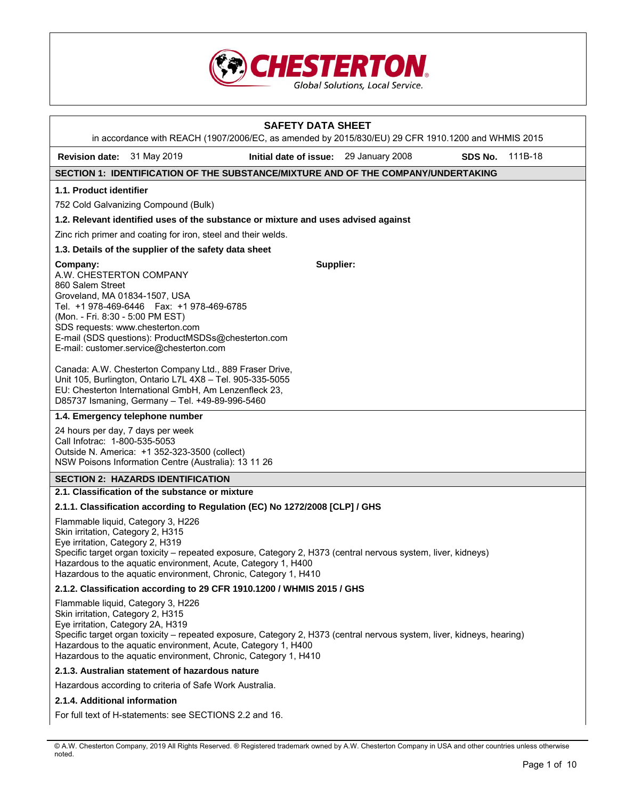

|                                                                                                                              |                                                                                                                                                                                                                                  | <b>SAFETY DATA SHEET</b><br>in accordance with REACH (1907/2006/EC, as amended by 2015/830/EU) 29 CFR 1910.1200 and WHMIS 2015 |         |         |
|------------------------------------------------------------------------------------------------------------------------------|----------------------------------------------------------------------------------------------------------------------------------------------------------------------------------------------------------------------------------|--------------------------------------------------------------------------------------------------------------------------------|---------|---------|
| Revision date: 31 May 2019                                                                                                   |                                                                                                                                                                                                                                  | Initial date of issue: 29 January 2008                                                                                         | SDS No. | 111B-18 |
|                                                                                                                              |                                                                                                                                                                                                                                  | SECTION 1: IDENTIFICATION OF THE SUBSTANCE/MIXTURE AND OF THE COMPANY/UNDERTAKING                                              |         |         |
| 1.1. Product identifier                                                                                                      |                                                                                                                                                                                                                                  |                                                                                                                                |         |         |
|                                                                                                                              | 752 Cold Galvanizing Compound (Bulk)                                                                                                                                                                                             |                                                                                                                                |         |         |
|                                                                                                                              |                                                                                                                                                                                                                                  | 1.2. Relevant identified uses of the substance or mixture and uses advised against                                             |         |         |
|                                                                                                                              | Zinc rich primer and coating for iron, steel and their welds.                                                                                                                                                                    |                                                                                                                                |         |         |
|                                                                                                                              | 1.3. Details of the supplier of the safety data sheet                                                                                                                                                                            |                                                                                                                                |         |         |
| Company:<br>A.W. CHESTERTON COMPANY<br>860 Salem Street<br>Groveland, MA 01834-1507, USA<br>(Mon. - Fri. 8:30 - 5:00 PM EST) | Tel. +1 978-469-6446   Fax: +1 978-469-6785<br>SDS requests: www.chesterton.com<br>E-mail (SDS questions): ProductMSDSs@chesterton.com<br>E-mail: customer.service@chesterton.com                                                | Supplier:                                                                                                                      |         |         |
|                                                                                                                              | Canada: A.W. Chesterton Company Ltd., 889 Fraser Drive,<br>Unit 105, Burlington, Ontario L7L 4X8 - Tel. 905-335-5055<br>EU: Chesterton International GmbH, Am Lenzenfleck 23,<br>D85737 Ismaning, Germany - Tel. +49-89-996-5460 |                                                                                                                                |         |         |
|                                                                                                                              | 1.4. Emergency telephone number                                                                                                                                                                                                  |                                                                                                                                |         |         |
| Call Infotrac: 1-800-535-5053                                                                                                | 24 hours per day, 7 days per week<br>Outside N. America: +1 352-323-3500 (collect)<br>NSW Poisons Information Centre (Australia): 13 11 26                                                                                       |                                                                                                                                |         |         |
|                                                                                                                              | <b>SECTION 2: HAZARDS IDENTIFICATION</b>                                                                                                                                                                                         |                                                                                                                                |         |         |
|                                                                                                                              | 2.1. Classification of the substance or mixture                                                                                                                                                                                  |                                                                                                                                |         |         |
|                                                                                                                              |                                                                                                                                                                                                                                  | 2.1.1. Classification according to Regulation (EC) No 1272/2008 [CLP] / GHS                                                    |         |         |
| Skin irritation, Category 2, H315<br>Eye irritation, Category 2, H319                                                        | Flammable liquid, Category 3, H226<br>Hazardous to the aguatic environment, Acute, Category 1, H400<br>Hazardous to the aquatic environment, Chronic, Category 1, H410                                                           | Specific target organ toxicity - repeated exposure, Category 2, H373 (central nervous system, liver, kidneys)                  |         |         |
|                                                                                                                              |                                                                                                                                                                                                                                  | 2.1.2. Classification according to 29 CFR 1910.1200 / WHMIS 2015 / GHS                                                         |         |         |
| Skin irritation, Category 2, H315<br>Eye irritation, Category 2A, H319                                                       | Flammable liquid, Category 3, H226<br>Hazardous to the aquatic environment, Acute, Category 1, H400<br>Hazardous to the aquatic environment, Chronic, Category 1, H410                                                           | Specific target organ toxicity – repeated exposure, Category 2, H373 (central nervous system, liver, kidneys, hearing)         |         |         |
|                                                                                                                              | 2.1.3. Australian statement of hazardous nature                                                                                                                                                                                  |                                                                                                                                |         |         |
|                                                                                                                              | Hazardous according to criteria of Safe Work Australia.                                                                                                                                                                          |                                                                                                                                |         |         |
| 2.1.4. Additional information                                                                                                |                                                                                                                                                                                                                                  |                                                                                                                                |         |         |
|                                                                                                                              | For full text of H-statements: see SECTIONS 2.2 and 16.                                                                                                                                                                          |                                                                                                                                |         |         |

<sup>©</sup> A.W. Chesterton Company, 2019 All Rights Reserved. ® Registered trademark owned by A.W. Chesterton Company in USA and other countries unless otherwise noted.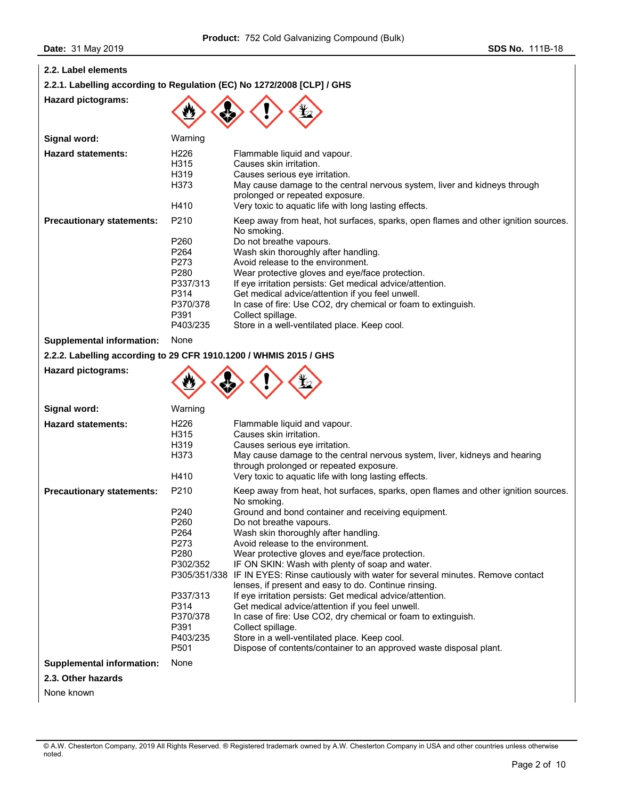| 2.2. Label elements |  |  |
|---------------------|--|--|
|---------------------|--|--|

**Hazard pictograms:** 

**Hazard pictograms:** 

**2.2.1. Labelling according to Regulation (EC) No 1272/2008 [CLP] / GHS** 

| ٠ | ₹b. |  |
|---|-----|--|
|   |     |  |

 $\wedge \wedge \wedge \wedge$ 

| Signal word:                                                      | Warning                                                                                                                      |                                                                                                                                                                                                                                                                                                                                                                                                                                                                                                                     |
|-------------------------------------------------------------------|------------------------------------------------------------------------------------------------------------------------------|---------------------------------------------------------------------------------------------------------------------------------------------------------------------------------------------------------------------------------------------------------------------------------------------------------------------------------------------------------------------------------------------------------------------------------------------------------------------------------------------------------------------|
| <b>Hazard statements:</b>                                         | H226<br>H315<br>H319<br>H373<br>H410                                                                                         | Flammable liquid and vapour.<br>Causes skin irritation.<br>Causes serious eye irritation.<br>May cause damage to the central nervous system, liver and kidneys through<br>prolonged or repeated exposure.<br>Very toxic to aquatic life with long lasting effects.                                                                                                                                                                                                                                                  |
| <b>Precautionary statements:</b>                                  | P <sub>210</sub><br>P260<br>P <sub>264</sub><br>P273<br>P <sub>280</sub><br>P337/313<br>P314<br>P370/378<br>P391<br>P403/235 | Keep away from heat, hot surfaces, sparks, open flames and other ignition sources.<br>No smoking.<br>Do not breathe vapours.<br>Wash skin thoroughly after handling.<br>Avoid release to the environment.<br>Wear protective gloves and eye/face protection.<br>If eye irritation persists: Get medical advice/attention.<br>Get medical advice/attention if you feel unwell.<br>In case of fire: Use CO2, dry chemical or foam to extinguish.<br>Collect spillage.<br>Store in a well-ventilated place. Keep cool. |
| <b>Supplemental information:</b>                                  | None                                                                                                                         |                                                                                                                                                                                                                                                                                                                                                                                                                                                                                                                     |
| 2.2.2. Labelling according to 29 CFR 1910.1200 / WHMIS 2015 / GHS |                                                                                                                              |                                                                                                                                                                                                                                                                                                                                                                                                                                                                                                                     |

|                                  | ₩                                                                                                                                                                                |                                                                                                                                                                                                                                                                                                                                                                                                                                                                                                                                                                                                                                                                                                                                                                                                                                                        |
|----------------------------------|----------------------------------------------------------------------------------------------------------------------------------------------------------------------------------|--------------------------------------------------------------------------------------------------------------------------------------------------------------------------------------------------------------------------------------------------------------------------------------------------------------------------------------------------------------------------------------------------------------------------------------------------------------------------------------------------------------------------------------------------------------------------------------------------------------------------------------------------------------------------------------------------------------------------------------------------------------------------------------------------------------------------------------------------------|
| Signal word:                     | Warning                                                                                                                                                                          |                                                                                                                                                                                                                                                                                                                                                                                                                                                                                                                                                                                                                                                                                                                                                                                                                                                        |
| <b>Hazard statements:</b>        | H <sub>226</sub><br>H315<br>H319<br>H373<br>H410                                                                                                                                 | Flammable liquid and vapour.<br>Causes skin irritation.<br>Causes serious eye irritation.<br>May cause damage to the central nervous system, liver, kidneys and hearing<br>through prolonged or repeated exposure.<br>Very toxic to aquatic life with long lasting effects.                                                                                                                                                                                                                                                                                                                                                                                                                                                                                                                                                                            |
| <b>Precautionary statements:</b> | P <sub>210</sub><br>P <sub>240</sub><br>P <sub>260</sub><br>P <sub>264</sub><br>P273<br>P280<br>P302/352<br>P337/313<br>P314<br>P370/378<br>P391<br>P403/235<br>P <sub>501</sub> | Keep away from heat, hot surfaces, sparks, open flames and other ignition sources.<br>No smoking.<br>Ground and bond container and receiving equipment.<br>Do not breathe vapours.<br>Wash skin thoroughly after handling.<br>Avoid release to the environment.<br>Wear protective gloves and eye/face protection.<br>IF ON SKIN: Wash with plenty of soap and water.<br>P305/351/338 IF IN EYES: Rinse cautiously with water for several minutes. Remove contact<br>lenses, if present and easy to do. Continue rinsing.<br>If eye irritation persists: Get medical advice/attention.<br>Get medical advice/attention if you feel unwell.<br>In case of fire: Use CO2, dry chemical or foam to extinguish.<br>Collect spillage.<br>Store in a well-ventilated place. Keep cool.<br>Dispose of contents/container to an approved waste disposal plant. |
| <b>Supplemental information:</b> | None                                                                                                                                                                             |                                                                                                                                                                                                                                                                                                                                                                                                                                                                                                                                                                                                                                                                                                                                                                                                                                                        |
| 2.3. Other hazards               |                                                                                                                                                                                  |                                                                                                                                                                                                                                                                                                                                                                                                                                                                                                                                                                                                                                                                                                                                                                                                                                                        |

None known

<sup>©</sup> A.W. Chesterton Company, 2019 All Rights Reserved. ® Registered trademark owned by A.W. Chesterton Company in USA and other countries unless otherwise noted.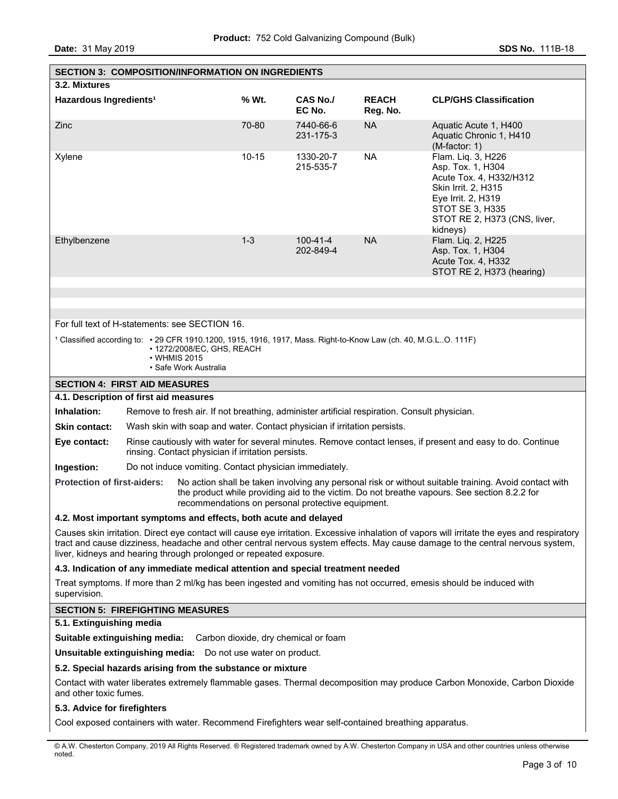**Date:** 31 May 2019 **SDS No. 111B-18** 

| <b>SECTION 3: COMPOSITION/INFORMATION ON INGREDIENTS</b>                                                                          |  |                                                                     |           |                                                                                                                 |                          |                                                                                                                                                                                                                                                                              |
|-----------------------------------------------------------------------------------------------------------------------------------|--|---------------------------------------------------------------------|-----------|-----------------------------------------------------------------------------------------------------------------|--------------------------|------------------------------------------------------------------------------------------------------------------------------------------------------------------------------------------------------------------------------------------------------------------------------|
| 3.2. Mixtures                                                                                                                     |  |                                                                     |           |                                                                                                                 |                          |                                                                                                                                                                                                                                                                              |
| Hazardous Ingredients <sup>1</sup>                                                                                                |  |                                                                     | % Wt.     | <b>CAS No./</b><br>EC No.                                                                                       | <b>REACH</b><br>Reg. No. | <b>CLP/GHS Classification</b>                                                                                                                                                                                                                                                |
| Zinc                                                                                                                              |  |                                                                     | 70-80     | 7440-66-6<br>231-175-3                                                                                          | <b>NA</b>                | Aquatic Acute 1, H400<br>Aquatic Chronic 1, H410<br>(M-factor: 1)                                                                                                                                                                                                            |
| Xylene                                                                                                                            |  |                                                                     | $10 - 15$ | 1330-20-7<br>215-535-7                                                                                          | <b>NA</b>                | Flam. Liq. 3, H226<br>Asp. Tox. 1, H304<br>Acute Tox. 4, H332/H312<br>Skin Irrit. 2, H315<br>Eye Irrit. 2, H319<br>STOT SE 3, H335<br>STOT RE 2, H373 (CNS, liver,<br>kidneys)                                                                                               |
| Ethylbenzene                                                                                                                      |  |                                                                     | $1 - 3$   | $100 - 41 - 4$<br>202-849-4                                                                                     | <b>NA</b>                | Flam. Liq. 2, H225<br>Asp. Tox. 1, H304<br>Acute Tox. 4, H332<br>STOT RE 2, H373 (hearing)                                                                                                                                                                                   |
|                                                                                                                                   |  |                                                                     |           |                                                                                                                 |                          |                                                                                                                                                                                                                                                                              |
|                                                                                                                                   |  |                                                                     |           |                                                                                                                 |                          |                                                                                                                                                                                                                                                                              |
| For full text of H-statements: see SECTION 16.                                                                                    |  |                                                                     |           |                                                                                                                 |                          |                                                                                                                                                                                                                                                                              |
|                                                                                                                                   |  | • 1272/2008/EC, GHS, REACH<br>• WHMIS 2015<br>· Safe Work Australia |           | 1 Classified according to: • 29 CFR 1910.1200, 1915, 1916, 1917, Mass. Right-to-Know Law (ch. 40, M.G.LO. 111F) |                          |                                                                                                                                                                                                                                                                              |
| <b>SECTION 4: FIRST AID MEASURES</b>                                                                                              |  |                                                                     |           |                                                                                                                 |                          |                                                                                                                                                                                                                                                                              |
| 4.1. Description of first aid measures                                                                                            |  |                                                                     |           |                                                                                                                 |                          |                                                                                                                                                                                                                                                                              |
| <b>Inhalation:</b>                                                                                                                |  |                                                                     |           | Remove to fresh air. If not breathing, administer artificial respiration. Consult physician.                    |                          |                                                                                                                                                                                                                                                                              |
| <b>Skin contact:</b>                                                                                                              |  |                                                                     |           | Wash skin with soap and water. Contact physician if irritation persists.                                        |                          |                                                                                                                                                                                                                                                                              |
| Eye contact:                                                                                                                      |  | rinsing. Contact physician if irritation persists.                  |           |                                                                                                                 |                          | Rinse cautiously with water for several minutes. Remove contact lenses, if present and easy to do. Continue                                                                                                                                                                  |
| Ingestion:                                                                                                                        |  | Do not induce vomiting. Contact physician immediately.              |           |                                                                                                                 |                          |                                                                                                                                                                                                                                                                              |
| <b>Protection of first-aiders:</b>                                                                                                |  |                                                                     |           | recommendations on personal protective equipment.                                                               |                          | No action shall be taken involving any personal risk or without suitable training. Avoid contact with<br>the product while providing aid to the victim. Do not breathe vapours. See section 8.2.2 for                                                                        |
| 4.2. Most important symptoms and effects, both acute and delayed                                                                  |  |                                                                     |           |                                                                                                                 |                          |                                                                                                                                                                                                                                                                              |
| liver, kidneys and hearing through prolonged or repeated exposure.                                                                |  |                                                                     |           |                                                                                                                 |                          | Causes skin irritation. Direct eye contact will cause eye irritation. Excessive inhalation of vapors will irritate the eyes and respiratory<br>tract and cause dizziness, headache and other central nervous system effects. May cause damage to the central nervous system, |
|                                                                                                                                   |  |                                                                     |           | 4.3. Indication of any immediate medical attention and special treatment needed                                 |                          |                                                                                                                                                                                                                                                                              |
| supervision.                                                                                                                      |  |                                                                     |           |                                                                                                                 |                          | Treat symptoms. If more than 2 ml/kg has been ingested and vomiting has not occurred, emesis should be induced with                                                                                                                                                          |
| <b>SECTION 5: FIREFIGHTING MEASURES</b>                                                                                           |  |                                                                     |           |                                                                                                                 |                          |                                                                                                                                                                                                                                                                              |
| 5.1. Extinguishing media                                                                                                          |  |                                                                     |           |                                                                                                                 |                          |                                                                                                                                                                                                                                                                              |
| Suitable extinguishing media:                                                                                                     |  |                                                                     |           | Carbon dioxide, dry chemical or foam                                                                            |                          |                                                                                                                                                                                                                                                                              |
| <b>Unsuitable extinguishing media:</b> Do not use water on product.<br>5.2. Special hazards arising from the substance or mixture |  |                                                                     |           |                                                                                                                 |                          |                                                                                                                                                                                                                                                                              |
| and other toxic fumes.                                                                                                            |  |                                                                     |           |                                                                                                                 |                          | Contact with water liberates extremely flammable gases. Thermal decomposition may produce Carbon Monoxide, Carbon Dioxide                                                                                                                                                    |
| 5.3. Advice for firefighters                                                                                                      |  |                                                                     |           |                                                                                                                 |                          |                                                                                                                                                                                                                                                                              |
| Cool exposed containers with water. Recommend Firefighters wear self-contained breathing apparatus.                               |  |                                                                     |           |                                                                                                                 |                          |                                                                                                                                                                                                                                                                              |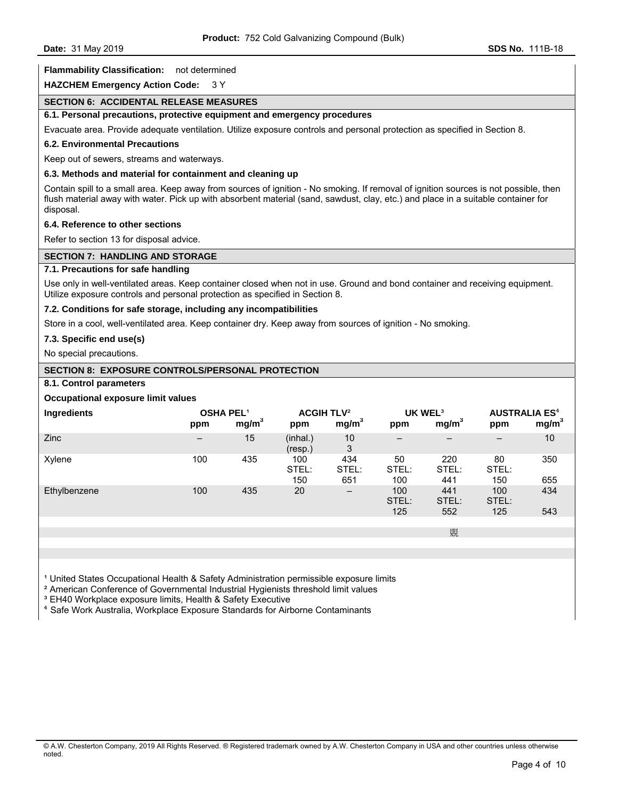## **Flammability Classification:** not determined

**HAZCHEM Emergency Action Code:** 3 Y

# **SECTION 6: ACCIDENTAL RELEASE MEASURES**

# **6.1. Personal precautions, protective equipment and emergency procedures**

Evacuate area. Provide adequate ventilation. Utilize exposure controls and personal protection as specified in Section 8.

## **6.2. Environmental Precautions**

Keep out of sewers, streams and waterways.

# **6.3. Methods and material for containment and cleaning up**

Contain spill to a small area. Keep away from sources of ignition - No smoking. If removal of ignition sources is not possible, then flush material away with water. Pick up with absorbent material (sand, sawdust, clay, etc.) and place in a suitable container for disposal.

## **6.4. Reference to other sections**

Refer to section 13 for disposal advice.

## **SECTION 7: HANDLING AND STORAGE**

# **7.1. Precautions for safe handling**

Use only in well-ventilated areas. Keep container closed when not in use. Ground and bond container and receiving equipment. Utilize exposure controls and personal protection as specified in Section 8.

## **7.2. Conditions for safe storage, including any incompatibilities**

Store in a cool, well-ventilated area. Keep container dry. Keep away from sources of ignition - No smoking.

## **7.3. Specific end use(s)**

No special precautions.

# **SECTION 8: EXPOSURE CONTROLS/PERSONAL PROTECTION**

# **8.1. Control parameters**

## **Occupational exposure limit values**

| Ingredients  | <b>OSHA PEL1</b><br>ppm | mg/m <sup>3</sup> | <b>ACGIH TLV<sup>2</sup></b><br>ppm | mg/m <sup>3</sup>   | UK WEL <sup>3</sup><br>ppm | mg/m <sup>3</sup>        | <b>AUSTRALIA ES<sup>4</sup></b><br>ppm | mg/m <sup>3</sup> |
|--------------|-------------------------|-------------------|-------------------------------------|---------------------|----------------------------|--------------------------|----------------------------------------|-------------------|
| Zinc         | $\qquad \qquad -$       | 15                | (inhal.)<br>(resp.)                 | 10<br>3             | $\overline{\phantom{0}}$   | $\overline{\phantom{0}}$ | $\qquad \qquad$                        | 10                |
| Xylene       | 100                     | 435               | 100<br>STEL:<br>150                 | 434<br>STEL:<br>651 | 50<br>STEL:<br>100         | 220<br>STEL:<br>441      | 80<br>STEL:<br>150                     | 350<br>655        |
| Ethylbenzene | 100                     | 435               | 20                                  | $\qquad \qquad -$   | 100<br>STEL:<br>125        | 441<br>STEL:<br>552      | 100<br>STEL:<br>125                    | 434<br>543        |
|              |                         |                   |                                     |                     |                            |                          |                                        |                   |
|              |                         |                   |                                     |                     |                            | 覞                        |                                        |                   |
|              |                         |                   |                                     |                     |                            |                          |                                        |                   |

<sup>1</sup> United States Occupational Health & Safety Administration permissible exposure limits

² American Conference of Governmental Industrial Hygienists threshold limit values

<sup>3</sup> EH40 Workplace exposure limits, Health & Safety Executive

⁴ Safe Work Australia, Workplace Exposure Standards for Airborne Contaminants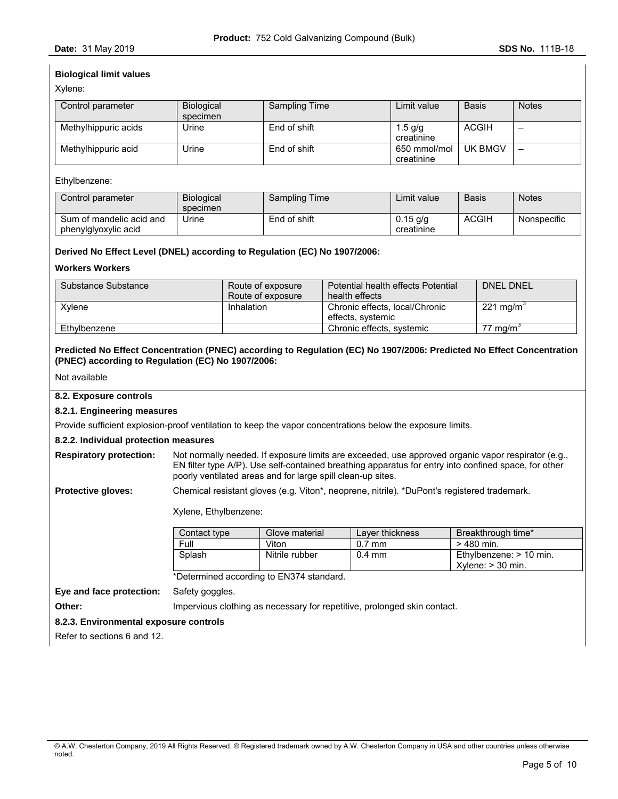# **Biological limit values**

Xylene:

| Control parameter    | Biological | Sampling Time | Limit value                | <b>Basis</b> | <b>Notes</b> |
|----------------------|------------|---------------|----------------------------|--------------|--------------|
|                      | specimen   |               |                            |              |              |
| Methylhippuric acids | Urine      | End of shift  | 1.5 $q/q$<br>creatinine    | <b>ACGIH</b> | -            |
| Methylhippuric acid  | Urine      | End of shift  | 650 mmol/mol<br>creatinine | UK BMGV      | -            |

## Ethylbenzene:

| Control parameter                                | <b>Biological</b><br>specimen | Sampling Time | ∟imit value              | <b>Basis</b> | <b>Notes</b> |
|--------------------------------------------------|-------------------------------|---------------|--------------------------|--------------|--------------|
| Sum of mandelic acid and<br>phenylglyoxylic acid | Jrine                         | End of shift  | $0.15$ g/g<br>creatinine | ACGIH        | Nonspecific  |

# **Derived No Effect Level (DNEL) according to Regulation (EC) No 1907/2006:**

## **Workers Workers**

| Substance Substance | Route of exposure | Potential health effects Potential | <b>DNEL DNEL</b>      |
|---------------------|-------------------|------------------------------------|-----------------------|
|                     | Route of exposure | health effects                     |                       |
| Xvlene              | Inhalation        | Chronic effects, local/Chronic     | 221 mg/m <sup>3</sup> |
|                     |                   | effects, systemic                  |                       |
| Ethvlbenzene        |                   | Chronic effects, systemic          | 77 mg/m <sup>3</sup>  |

# **Predicted No Effect Concentration (PNEC) according to Regulation (EC) No 1907/2006: Predicted No Effect Concentration (PNEC) according to Regulation (EC) No 1907/2006:**

Not available

## **8.2. Exposure controls**

### **8.2.1. Engineering measures**

Provide sufficient explosion-proof ventilation to keep the vapor concentrations below the exposure limits.

### **8.2.2. Individual protection measures**

**Respiratory protection:** Not normally needed. If exposure limits are exceeded, use approved organic vapor respirator (e.g., EN filter type A/P). Use self-contained breathing apparatus for entry into confined space, for other poorly ventilated areas and for large spill clean-up sites.

**Protective gloves:** Chemical resistant gloves (e.g. Viton\*, neoprene, nitrile). \*DuPont's registered trademark.

Xylene, Ethylbenzene:

| Contact type | Glove material | Laver thickness  | Breakthrough time*                                  |
|--------------|----------------|------------------|-----------------------------------------------------|
| Full         | Viton          | $0.7$ mm         | $>480$ min.                                         |
| Splash       | Nitrile rubber | $0.4 \text{ mm}$ | Ethylbenzene: $> 10$ min.<br>$X$ ylene: $>$ 30 min. |

\*Determined according to EN374 standard.

**Eye and face protection:** Safety goggles.

**Other: Impervious clothing as necessary for repetitive, prolonged skin contact.** 

### **8.2.3. Environmental exposure controls**

Refer to sections 6 and 12.

<sup>©</sup> A.W. Chesterton Company, 2019 All Rights Reserved. ® Registered trademark owned by A.W. Chesterton Company in USA and other countries unless otherwise noted.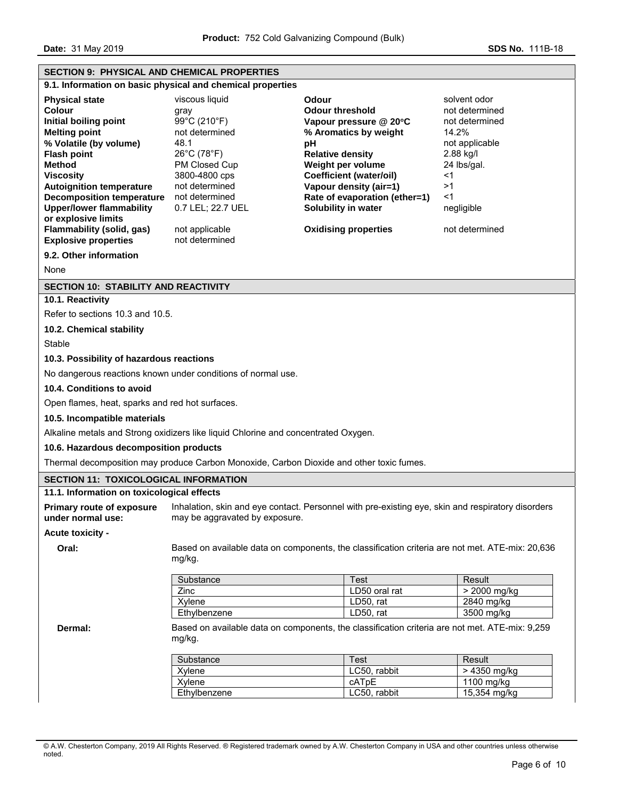**Date: 31 May 2019 SDS No. 111B-18** 

| <b>SECTION 9: PHYSICAL AND CHEMICAL PROPERTIES</b>                                                                                                                                                                                                                                                                                                                                                  |                                                                                                                                                                                                                |                                                                                                                                                                                                                                                                                                    |                                                                                                                                                              |  |  |
|-----------------------------------------------------------------------------------------------------------------------------------------------------------------------------------------------------------------------------------------------------------------------------------------------------------------------------------------------------------------------------------------------------|----------------------------------------------------------------------------------------------------------------------------------------------------------------------------------------------------------------|----------------------------------------------------------------------------------------------------------------------------------------------------------------------------------------------------------------------------------------------------------------------------------------------------|--------------------------------------------------------------------------------------------------------------------------------------------------------------|--|--|
|                                                                                                                                                                                                                                                                                                                                                                                                     | 9.1. Information on basic physical and chemical properties                                                                                                                                                     |                                                                                                                                                                                                                                                                                                    |                                                                                                                                                              |  |  |
| <b>Physical state</b><br><b>Colour</b><br>Initial boiling point<br><b>Melting point</b><br>% Volatile (by volume)<br><b>Flash point</b><br><b>Method</b><br><b>Viscosity</b><br><b>Autoignition temperature</b><br><b>Decomposition temperature</b><br><b>Upper/lower flammability</b><br>or explosive limits<br>Flammability (solid, gas)<br><b>Explosive properties</b><br>9.2. Other information | viscous liquid<br>gray<br>99°C (210°F)<br>not determined<br>48.1<br>26°C (78°F)<br>PM Closed Cup<br>3800-4800 cps<br>not determined<br>not determined<br>0.7 LEL; 22.7 UEL<br>not applicable<br>not determined | <b>Odour</b><br><b>Odour threshold</b><br>Vapour pressure @ 20°C<br>% Aromatics by weight<br>рH<br><b>Relative density</b><br>Weight per volume<br><b>Coefficient (water/oil)</b><br>Vapour density (air=1)<br>Rate of evaporation (ether=1)<br>Solubility in water<br><b>Oxidising properties</b> | solvent odor<br>not determined<br>not determined<br>14.2%<br>not applicable<br>2.88 kg/l<br>24 lbs/gal.<br><1<br>>1<br>$<$ 1<br>negligible<br>not determined |  |  |
|                                                                                                                                                                                                                                                                                                                                                                                                     |                                                                                                                                                                                                                |                                                                                                                                                                                                                                                                                                    |                                                                                                                                                              |  |  |
| None                                                                                                                                                                                                                                                                                                                                                                                                |                                                                                                                                                                                                                |                                                                                                                                                                                                                                                                                                    |                                                                                                                                                              |  |  |
| <b>SECTION 10: STABILITY AND REACTIVITY</b><br>10.1. Reactivity                                                                                                                                                                                                                                                                                                                                     |                                                                                                                                                                                                                |                                                                                                                                                                                                                                                                                                    |                                                                                                                                                              |  |  |
| Refer to sections 10.3 and 10.5.                                                                                                                                                                                                                                                                                                                                                                    |                                                                                                                                                                                                                |                                                                                                                                                                                                                                                                                                    |                                                                                                                                                              |  |  |
| 10.2. Chemical stability                                                                                                                                                                                                                                                                                                                                                                            |                                                                                                                                                                                                                |                                                                                                                                                                                                                                                                                                    |                                                                                                                                                              |  |  |
| Stable                                                                                                                                                                                                                                                                                                                                                                                              |                                                                                                                                                                                                                |                                                                                                                                                                                                                                                                                                    |                                                                                                                                                              |  |  |
| 10.3. Possibility of hazardous reactions                                                                                                                                                                                                                                                                                                                                                            |                                                                                                                                                                                                                |                                                                                                                                                                                                                                                                                                    |                                                                                                                                                              |  |  |
|                                                                                                                                                                                                                                                                                                                                                                                                     | No dangerous reactions known under conditions of normal use.                                                                                                                                                   |                                                                                                                                                                                                                                                                                                    |                                                                                                                                                              |  |  |
| 10.4. Conditions to avoid                                                                                                                                                                                                                                                                                                                                                                           |                                                                                                                                                                                                                |                                                                                                                                                                                                                                                                                                    |                                                                                                                                                              |  |  |
| Open flames, heat, sparks and red hot surfaces.                                                                                                                                                                                                                                                                                                                                                     |                                                                                                                                                                                                                |                                                                                                                                                                                                                                                                                                    |                                                                                                                                                              |  |  |
| 10.5. Incompatible materials                                                                                                                                                                                                                                                                                                                                                                        |                                                                                                                                                                                                                |                                                                                                                                                                                                                                                                                                    |                                                                                                                                                              |  |  |
|                                                                                                                                                                                                                                                                                                                                                                                                     | Alkaline metals and Strong oxidizers like liquid Chlorine and concentrated Oxygen.                                                                                                                             |                                                                                                                                                                                                                                                                                                    |                                                                                                                                                              |  |  |
| 10.6. Hazardous decomposition products                                                                                                                                                                                                                                                                                                                                                              |                                                                                                                                                                                                                |                                                                                                                                                                                                                                                                                                    |                                                                                                                                                              |  |  |
|                                                                                                                                                                                                                                                                                                                                                                                                     | Thermal decomposition may produce Carbon Monoxide, Carbon Dioxide and other toxic fumes.                                                                                                                       |                                                                                                                                                                                                                                                                                                    |                                                                                                                                                              |  |  |
| <b>SECTION 11: TOXICOLOGICAL INFORMATION</b>                                                                                                                                                                                                                                                                                                                                                        |                                                                                                                                                                                                                |                                                                                                                                                                                                                                                                                                    |                                                                                                                                                              |  |  |
| 11.1. Information on toxicological effects                                                                                                                                                                                                                                                                                                                                                          |                                                                                                                                                                                                                |                                                                                                                                                                                                                                                                                                    |                                                                                                                                                              |  |  |
| <b>Primary route of exposure</b><br>under normal use:<br>Acute toxicity -                                                                                                                                                                                                                                                                                                                           | may be aggravated by exposure.                                                                                                                                                                                 | Inhalation, skin and eye contact. Personnel with pre-existing eye, skin and respiratory disorders                                                                                                                                                                                                  |                                                                                                                                                              |  |  |
| Oral:                                                                                                                                                                                                                                                                                                                                                                                               | Based on available data on components, the classification criteria are not met. ATE-mix: 20,636<br>mg/kg.                                                                                                      |                                                                                                                                                                                                                                                                                                    |                                                                                                                                                              |  |  |
|                                                                                                                                                                                                                                                                                                                                                                                                     | Substance                                                                                                                                                                                                      | <b>Test</b>                                                                                                                                                                                                                                                                                        | Result                                                                                                                                                       |  |  |
|                                                                                                                                                                                                                                                                                                                                                                                                     | Zinc                                                                                                                                                                                                           | LD50 oral rat                                                                                                                                                                                                                                                                                      | > 2000 mg/kg                                                                                                                                                 |  |  |
|                                                                                                                                                                                                                                                                                                                                                                                                     | Xylene                                                                                                                                                                                                         | LD50, rat<br>LD50, rat                                                                                                                                                                                                                                                                             | 2840 mg/kg<br>3500 mg/kg                                                                                                                                     |  |  |
| Dermal:                                                                                                                                                                                                                                                                                                                                                                                             | Ethylbenzene<br>mg/kg.                                                                                                                                                                                         | Based on available data on components, the classification criteria are not met. ATE-mix: 9,259                                                                                                                                                                                                     |                                                                                                                                                              |  |  |
|                                                                                                                                                                                                                                                                                                                                                                                                     | Substance                                                                                                                                                                                                      | <b>Test</b>                                                                                                                                                                                                                                                                                        | Result                                                                                                                                                       |  |  |
|                                                                                                                                                                                                                                                                                                                                                                                                     | Xylene                                                                                                                                                                                                         | LC50, rabbit                                                                                                                                                                                                                                                                                       | > 4350 mg/kg                                                                                                                                                 |  |  |
|                                                                                                                                                                                                                                                                                                                                                                                                     | Xylene                                                                                                                                                                                                         | cATpE                                                                                                                                                                                                                                                                                              | 1100 mg/kg                                                                                                                                                   |  |  |
|                                                                                                                                                                                                                                                                                                                                                                                                     | Ethylbenzene                                                                                                                                                                                                   | LC50, rabbit                                                                                                                                                                                                                                                                                       | 15,354 mg/kg                                                                                                                                                 |  |  |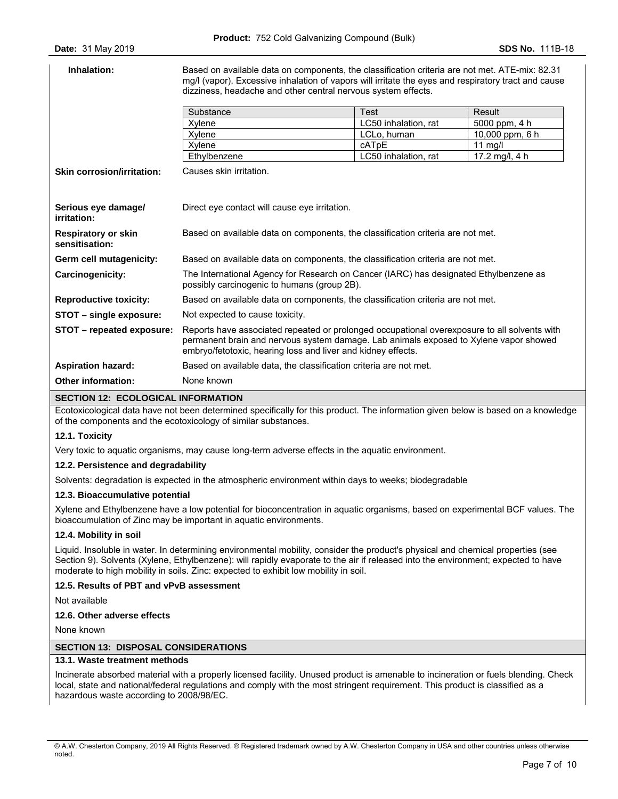| Inhalation:                                  | Based on available data on components, the classification criteria are not met. ATE-mix: 82.31<br>mg/l (vapor). Excessive inhalation of vapors will irritate the eyes and respiratory tract and cause<br>dizziness, headache and other central nervous system effects. |                      |                 |
|----------------------------------------------|------------------------------------------------------------------------------------------------------------------------------------------------------------------------------------------------------------------------------------------------------------------------|----------------------|-----------------|
|                                              | Substance                                                                                                                                                                                                                                                              | <b>Test</b>          | Result          |
|                                              | Xylene                                                                                                                                                                                                                                                                 | LC50 inhalation, rat | 5000 ppm, 4 h   |
|                                              | Xylene                                                                                                                                                                                                                                                                 | LCLo, human          | 10,000 ppm, 6 h |
|                                              | Xylene                                                                                                                                                                                                                                                                 | cATpE                | 11 $mq/l$       |
|                                              | Ethylbenzene                                                                                                                                                                                                                                                           | LC50 inhalation, rat | 17.2 mg/l, 4 h  |
| <b>Skin corrosion/irritation:</b>            | Causes skin irritation.                                                                                                                                                                                                                                                |                      |                 |
| Serious eye damage/<br>irritation:           | Direct eye contact will cause eye irritation.                                                                                                                                                                                                                          |                      |                 |
| <b>Respiratory or skin</b><br>sensitisation: | Based on available data on components, the classification criteria are not met.                                                                                                                                                                                        |                      |                 |
| Germ cell mutagenicity:                      | Based on available data on components, the classification criteria are not met.                                                                                                                                                                                        |                      |                 |
| Carcinogenicity:                             | The International Agency for Research on Cancer (IARC) has designated Ethylbenzene as<br>possibly carcinogenic to humans (group 2B).                                                                                                                                   |                      |                 |
| <b>Reproductive toxicity:</b>                | Based on available data on components, the classification criteria are not met.                                                                                                                                                                                        |                      |                 |
| STOT - single exposure:                      | Not expected to cause toxicity.                                                                                                                                                                                                                                        |                      |                 |
| STOT - repeated exposure:                    | Reports have associated repeated or prolonged occupational overexposure to all solvents with<br>permanent brain and nervous system damage. Lab animals exposed to Xylene vapor showed<br>embryo/fetotoxic, hearing loss and liver and kidney effects.                  |                      |                 |
| <b>Aspiration hazard:</b>                    | Based on available data, the classification criteria are not met.                                                                                                                                                                                                      |                      |                 |
| <b>Other information:</b>                    | None known                                                                                                                                                                                                                                                             |                      |                 |

#### **SECTION 12: ECOLOGICAL INFORMATION**

Ecotoxicological data have not been determined specifically for this product. The information given below is based on a knowledge of the components and the ecotoxicology of similar substances.

### **12.1. Toxicity**

Very toxic to aquatic organisms, may cause long-term adverse effects in the aquatic environment.

## **12.2. Persistence and degradability**

Solvents: degradation is expected in the atmospheric environment within days to weeks; biodegradable

### **12.3. Bioaccumulative potential**

Xylene and Ethylbenzene have a low potential for bioconcentration in aquatic organisms, based on experimental BCF values. The bioaccumulation of Zinc may be important in aquatic environments.

### **12.4. Mobility in soil**

Liquid. Insoluble in water. In determining environmental mobility, consider the product's physical and chemical properties (see Section 9). Solvents (Xylene, Ethylbenzene): will rapidly evaporate to the air if released into the environment; expected to have moderate to high mobility in soils. Zinc: expected to exhibit low mobility in soil.

## **12.5. Results of PBT and vPvB assessment**

Not available

# **12.6. Other adverse effects**

None known

### **SECTION 13: DISPOSAL CONSIDERATIONS**

## **13.1. Waste treatment methods**

Incinerate absorbed material with a properly licensed facility. Unused product is amenable to incineration or fuels blending. Check local, state and national/federal regulations and comply with the most stringent requirement. This product is classified as a hazardous waste according to 2008/98/EC.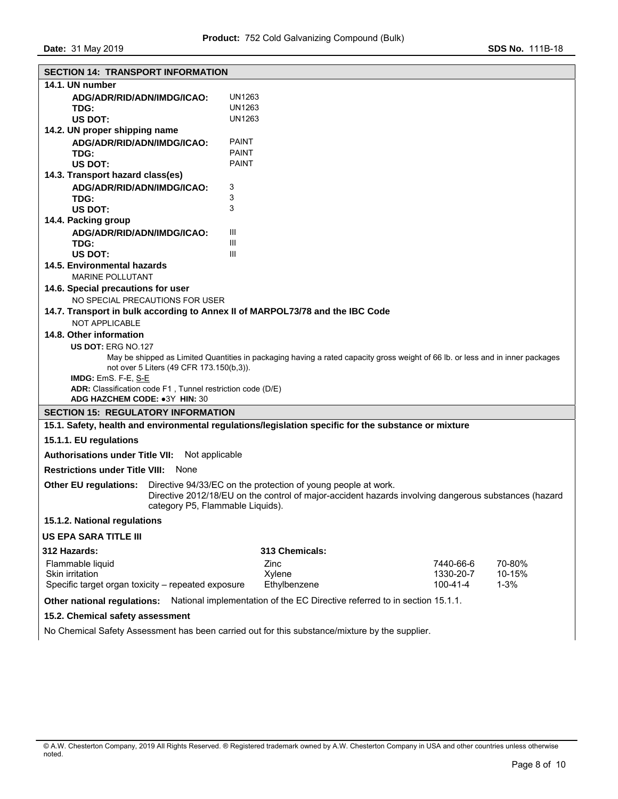| <b>SECTION 14: TRANSPORT INFORMATION</b>                                                               |                                                               |                                                                                                                                |  |  |  |
|--------------------------------------------------------------------------------------------------------|---------------------------------------------------------------|--------------------------------------------------------------------------------------------------------------------------------|--|--|--|
| 14.1. UN number                                                                                        |                                                               |                                                                                                                                |  |  |  |
| ADG/ADR/RID/ADN/IMDG/ICAO:                                                                             | UN1263                                                        |                                                                                                                                |  |  |  |
| TDG:                                                                                                   | UN1263                                                        |                                                                                                                                |  |  |  |
| US DOT:                                                                                                | UN1263                                                        |                                                                                                                                |  |  |  |
| 14.2. UN proper shipping name                                                                          |                                                               |                                                                                                                                |  |  |  |
| ADG/ADR/RID/ADN/IMDG/ICAO:                                                                             | <b>PAINT</b><br><b>PAINT</b>                                  |                                                                                                                                |  |  |  |
| TDG:<br>US DOT:                                                                                        | <b>PAINT</b>                                                  |                                                                                                                                |  |  |  |
|                                                                                                        |                                                               |                                                                                                                                |  |  |  |
| 14.3. Transport hazard class(es)                                                                       |                                                               |                                                                                                                                |  |  |  |
| ADG/ADR/RID/ADN/IMDG/ICAO:<br>TDG:                                                                     | 3<br>3                                                        |                                                                                                                                |  |  |  |
| US DOT:                                                                                                | 3                                                             |                                                                                                                                |  |  |  |
| 14.4. Packing group                                                                                    |                                                               |                                                                                                                                |  |  |  |
| ADG/ADR/RID/ADN/IMDG/ICAO:                                                                             | Ш                                                             |                                                                                                                                |  |  |  |
| TDG:                                                                                                   | Ш                                                             |                                                                                                                                |  |  |  |
| <b>US DOT:</b>                                                                                         | Ш                                                             |                                                                                                                                |  |  |  |
| 14.5. Environmental hazards                                                                            |                                                               |                                                                                                                                |  |  |  |
| <b>MARINE POLLUTANT</b>                                                                                |                                                               |                                                                                                                                |  |  |  |
| 14.6. Special precautions for user                                                                     |                                                               |                                                                                                                                |  |  |  |
| NO SPECIAL PRECAUTIONS FOR USER                                                                        |                                                               |                                                                                                                                |  |  |  |
| 14.7. Transport in bulk according to Annex II of MARPOL73/78 and the IBC Code                          |                                                               |                                                                                                                                |  |  |  |
| <b>NOT APPLICABLE</b>                                                                                  |                                                               |                                                                                                                                |  |  |  |
| 14.8. Other information                                                                                |                                                               |                                                                                                                                |  |  |  |
| US DOT: ERG NO.127                                                                                     |                                                               |                                                                                                                                |  |  |  |
|                                                                                                        |                                                               | May be shipped as Limited Quantities in packaging having a rated capacity gross weight of 66 lb. or less and in inner packages |  |  |  |
| not over 5 Liters (49 CFR 173.150(b,3)).                                                               |                                                               |                                                                                                                                |  |  |  |
| IMDG: EmS. F-E, S-E                                                                                    |                                                               |                                                                                                                                |  |  |  |
| ADR: Classification code F1, Tunnel restriction code (D/E)                                             |                                                               |                                                                                                                                |  |  |  |
| ADG HAZCHEM CODE: •3Y HIN: 30                                                                          |                                                               |                                                                                                                                |  |  |  |
| <b>SECTION 15: REGULATORY INFORMATION</b>                                                              |                                                               |                                                                                                                                |  |  |  |
| 15.1. Safety, health and environmental regulations/legislation specific for the substance or mixture   |                                                               |                                                                                                                                |  |  |  |
| 15.1.1. EU regulations                                                                                 |                                                               |                                                                                                                                |  |  |  |
| <b>Authorisations under Title VII:</b><br>Not applicable                                               |                                                               |                                                                                                                                |  |  |  |
| <b>Restrictions under Title VIII: None</b>                                                             |                                                               |                                                                                                                                |  |  |  |
| <b>Other EU regulations:</b>                                                                           | Directive 94/33/EC on the protection of young people at work. |                                                                                                                                |  |  |  |
|                                                                                                        |                                                               | Directive 2012/18/EU on the control of major-accident hazards involving dangerous substances (hazard                           |  |  |  |
| category P5, Flammable Liquids).                                                                       |                                                               |                                                                                                                                |  |  |  |
| 15.1.2. National regulations                                                                           |                                                               |                                                                                                                                |  |  |  |
| <b>US EPA SARA TITLE III</b>                                                                           |                                                               |                                                                                                                                |  |  |  |
| 312 Hazards:                                                                                           | 313 Chemicals:                                                |                                                                                                                                |  |  |  |
|                                                                                                        |                                                               |                                                                                                                                |  |  |  |
| Flammable liquid                                                                                       | Zinc                                                          | 70-80%<br>7440-66-6<br>1330-20-7<br>10-15%                                                                                     |  |  |  |
| Skin irritation                                                                                        | Xylene                                                        | $1 - 3%$                                                                                                                       |  |  |  |
| Specific target organ toxicity - repeated exposure<br>100-41-4<br>Ethylbenzene                         |                                                               |                                                                                                                                |  |  |  |
| Other national regulations: National implementation of the EC Directive referred to in section 15.1.1. |                                                               |                                                                                                                                |  |  |  |
| 15.2. Chemical safety assessment                                                                       |                                                               |                                                                                                                                |  |  |  |
| No Chemical Safety Assessment has been carried out for this substance/mixture by the supplier.         |                                                               |                                                                                                                                |  |  |  |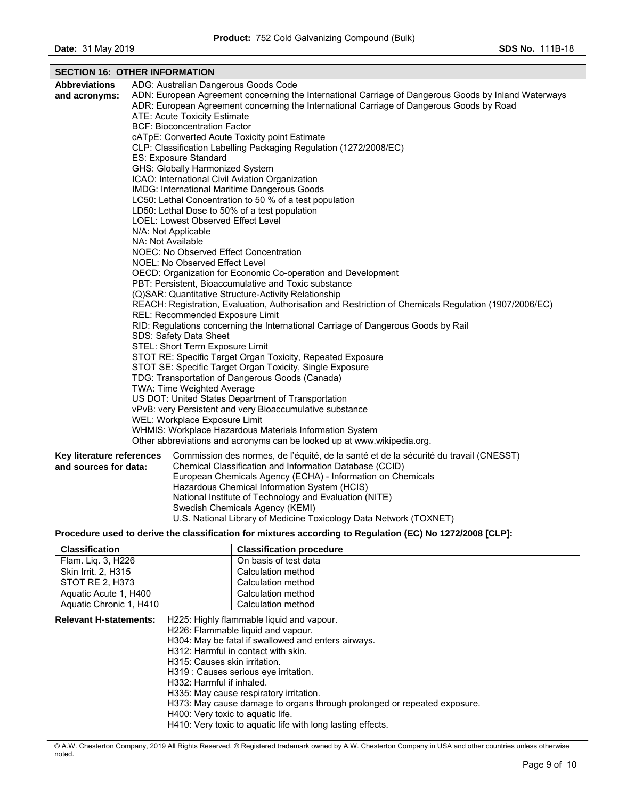| <b>SECTION 16: OTHER INFORMATION</b>                                                                           |                                                                                                       |                                                                                                                        |  |  |
|----------------------------------------------------------------------------------------------------------------|-------------------------------------------------------------------------------------------------------|------------------------------------------------------------------------------------------------------------------------|--|--|
| <b>Abbreviations</b>                                                                                           |                                                                                                       | ADG: Australian Dangerous Goods Code                                                                                   |  |  |
| and acronyms:                                                                                                  |                                                                                                       | ADN: European Agreement concerning the International Carriage of Dangerous Goods by Inland Waterways                   |  |  |
|                                                                                                                |                                                                                                       | ADR: European Agreement concerning the International Carriage of Dangerous Goods by Road                               |  |  |
|                                                                                                                |                                                                                                       | <b>ATE: Acute Toxicity Estimate</b>                                                                                    |  |  |
|                                                                                                                | <b>BCF: Bioconcentration Factor</b>                                                                   |                                                                                                                        |  |  |
|                                                                                                                | cATpE: Converted Acute Toxicity point Estimate                                                        |                                                                                                                        |  |  |
|                                                                                                                | CLP: Classification Labelling Packaging Regulation (1272/2008/EC)                                     |                                                                                                                        |  |  |
|                                                                                                                | ES: Exposure Standard                                                                                 |                                                                                                                        |  |  |
|                                                                                                                |                                                                                                       | GHS: Globally Harmonized System                                                                                        |  |  |
|                                                                                                                |                                                                                                       | ICAO: International Civil Aviation Organization                                                                        |  |  |
|                                                                                                                |                                                                                                       | IMDG: International Maritime Dangerous Goods                                                                           |  |  |
|                                                                                                                |                                                                                                       | LC50: Lethal Concentration to 50 % of a test population                                                                |  |  |
|                                                                                                                | LD50: Lethal Dose to 50% of a test population                                                         |                                                                                                                        |  |  |
|                                                                                                                | LOEL: Lowest Observed Effect Level                                                                    |                                                                                                                        |  |  |
| N/A: Not Applicable<br>NA: Not Available                                                                       |                                                                                                       |                                                                                                                        |  |  |
| NOEC: No Observed Effect Concentration                                                                         |                                                                                                       |                                                                                                                        |  |  |
| NOEL: No Observed Effect Level                                                                                 |                                                                                                       |                                                                                                                        |  |  |
| OECD: Organization for Economic Co-operation and Development                                                   |                                                                                                       |                                                                                                                        |  |  |
| PBT: Persistent, Bioaccumulative and Toxic substance                                                           |                                                                                                       |                                                                                                                        |  |  |
| (Q)SAR: Quantitative Structure-Activity Relationship                                                           |                                                                                                       |                                                                                                                        |  |  |
|                                                                                                                | REACH: Registration, Evaluation, Authorisation and Restriction of Chemicals Regulation (1907/2006/EC) |                                                                                                                        |  |  |
|                                                                                                                |                                                                                                       | REL: Recommended Exposure Limit                                                                                        |  |  |
|                                                                                                                |                                                                                                       | RID: Regulations concerning the International Carriage of Dangerous Goods by Rail                                      |  |  |
|                                                                                                                | SDS: Safety Data Sheet                                                                                |                                                                                                                        |  |  |
|                                                                                                                | STEL: Short Term Exposure Limit                                                                       |                                                                                                                        |  |  |
|                                                                                                                | STOT RE: Specific Target Organ Toxicity, Repeated Exposure                                            |                                                                                                                        |  |  |
|                                                                                                                | STOT SE: Specific Target Organ Toxicity, Single Exposure                                              |                                                                                                                        |  |  |
| TDG: Transportation of Dangerous Goods (Canada)                                                                |                                                                                                       |                                                                                                                        |  |  |
| TWA: Time Weighted Average                                                                                     |                                                                                                       |                                                                                                                        |  |  |
| US DOT: United States Department of Transportation<br>vPvB: very Persistent and very Bioaccumulative substance |                                                                                                       |                                                                                                                        |  |  |
|                                                                                                                |                                                                                                       | WEL: Workplace Exposure Limit                                                                                          |  |  |
|                                                                                                                |                                                                                                       | WHMIS: Workplace Hazardous Materials Information System                                                                |  |  |
|                                                                                                                |                                                                                                       | Other abbreviations and acronyms can be looked up at www.wikipedia.org.                                                |  |  |
|                                                                                                                |                                                                                                       |                                                                                                                        |  |  |
| Key literature references                                                                                      |                                                                                                       | Commission des normes, de l'équité, de la santé et de la sécurité du travail (CNESST)                                  |  |  |
| and sources for data:                                                                                          |                                                                                                       | Chemical Classification and Information Database (CCID)<br>European Chemicals Agency (ECHA) - Information on Chemicals |  |  |
|                                                                                                                |                                                                                                       | Hazardous Chemical Information System (HCIS)                                                                           |  |  |
|                                                                                                                |                                                                                                       | National Institute of Technology and Evaluation (NITE)                                                                 |  |  |
|                                                                                                                |                                                                                                       | Swedish Chemicals Agency (KEMI)                                                                                        |  |  |
|                                                                                                                |                                                                                                       | U.S. National Library of Medicine Toxicology Data Network (TOXNET)                                                     |  |  |
|                                                                                                                |                                                                                                       |                                                                                                                        |  |  |
| Procedure used to derive the classification for mixtures according to Regulation (EC) No 1272/2008 [CLP]:      |                                                                                                       |                                                                                                                        |  |  |
| <b>Classification</b>                                                                                          |                                                                                                       | <b>Classification procedure</b>                                                                                        |  |  |
| Flam. Liq. 3, H226                                                                                             |                                                                                                       | On basis of test data                                                                                                  |  |  |
| Skin Irrit. 2, H315                                                                                            |                                                                                                       | Calculation method                                                                                                     |  |  |
| STOT RE 2, H373                                                                                                |                                                                                                       | Calculation method                                                                                                     |  |  |
| Aquatic Acute 1, H400                                                                                          |                                                                                                       | Calculation method                                                                                                     |  |  |
| Aquatic Chronic 1, H410                                                                                        |                                                                                                       | Calculation method                                                                                                     |  |  |

| <b>Relevant H-statements:</b> | H225: Highly flammable liquid and vapour.<br>H226: Flammable liquid and vapour.<br>H304: May be fatal if swallowed and enters airways.<br>H312: Harmful in contact with skin.<br>H315: Causes skin irritation.<br>H319 : Causes serious eye irritation.<br>H332: Harmful if inhaled.<br>H335: May cause respiratory irritation.<br>H373: May cause damage to organs through prolonged or repeated exposure.<br>H400: Very toxic to aquatic life. |
|-------------------------------|--------------------------------------------------------------------------------------------------------------------------------------------------------------------------------------------------------------------------------------------------------------------------------------------------------------------------------------------------------------------------------------------------------------------------------------------------|
|                               | H410: Very toxic to aguatic life with long lasting effects.                                                                                                                                                                                                                                                                                                                                                                                      |